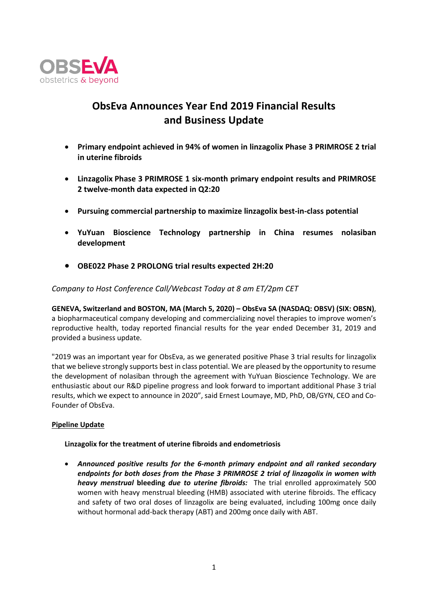

# **ObsEva Announces Year End 2019 Financial Results and Business Update**

- **Primary endpoint achieved in 94% of women in linzagolix Phase 3 PRIMROSE 2 trial in uterine fibroids**
- **Linzagolix Phase 3 PRIMROSE 1 six-month primary endpoint results and PRIMROSE 2 twelve-month data expected in Q2:20**
- **Pursuing commercial partnership to maximize linzagolix best-in-class potential**
- **YuYuan Bioscience Technology partnership in China resumes nolasiban development**
- **OBE022 Phase 2 PROLONG trial results expected 2H:20**

# *Company to Host Conference Call/Webcast Today at 8 am ET/2pm CET*

**GENEVA, Switzerland and BOSTON, MA (March 5, 2020) – ObsEva SA (NASDAQ: OBSV) (SIX: OBSN)**, a biopharmaceutical company developing and commercializing novel therapies to improve women's reproductive health, today reported financial results for the year ended December 31, 2019 and provided a business update.

"2019 was an important year for ObsEva, as we generated positive Phase 3 trial results for linzagolix that we believe strongly supports best in class potential. We are pleased by the opportunity to resume the development of nolasiban through the agreement with YuYuan Bioscience Technology. We are enthusiastic about our R&D pipeline progress and look forward to important additional Phase 3 trial results, which we expect to announce in 2020", said Ernest Loumaye, MD, PhD, OB/GYN, CEO and Co-Founder of ObsEva.

# **Pipeline Update**

# **Linzagolix for the treatment of uterine fibroids and endometriosis**

• *Announced positive results for the 6-month primary endpoint and all ranked secondary endpoints for both doses from the Phase 3 PRIMROSE 2 trial of linzagolix in women with heavy menstrual* **bleeding** *due to uterine fibroids:* The trial enrolled approximately 500 women with heavy menstrual bleeding (HMB) associated with uterine fibroids. The efficacy and safety of two oral doses of linzagolix are being evaluated, including 100mg once daily without hormonal add-back therapy (ABT) and 200mg once daily with ABT.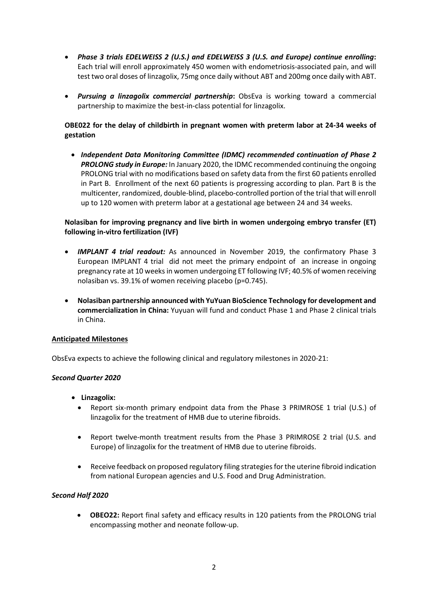- *Phase 3 trials EDELWEISS 2 (U.S.) and EDELWEISS 3 (U.S. and Europe) continue enrolling***:** Each trial will enroll approximately 450 women with endometriosis-associated pain, and will test two oral doses of linzagolix, 75mg once daily without ABT and 200mg once daily with ABT.
- *Pursuing a linzagolix commercial partnership***:** ObsEva is working toward a commercial partnership to maximize the best-in-class potential for linzagolix.

# **OBE022 for the delay of childbirth in pregnant women with preterm labor at 24-34 weeks of gestation**

• *Independent Data Monitoring Committee (IDMC) recommended continuation of Phase 2 PROLONG study in Europe:* In January 2020, the IDMC recommended continuing the ongoing PROLONG trial with no modifications based on safety data from the first 60 patients enrolled in Part B. Enrollment of the next 60 patients is progressing according to plan. Part B is the multicenter, randomized, double-blind, placebo-controlled portion of the trial that will enroll up to 120 women with preterm labor at a gestational age between 24 and 34 weeks.

# **Nolasiban for improving pregnancy and live birth in women undergoing embryo transfer (ET) following in-vitro fertilization (IVF)**

- *IMPLANT 4 trial readout:* As announced in November 2019, the confirmatory Phase 3 European IMPLANT 4 trial did not meet the primary endpoint of an increase in ongoing pregnancy rate at 10 weeksin women undergoing ET following IVF; 40.5% of women receiving nolasiban vs. 39.1% of women receiving placebo (p=0.745).
- **Nolasiban partnership announced with YuYuan BioScience Technology for development and commercialization in China:** Yuyuan will fund and conduct Phase 1 and Phase 2 clinical trials in China.

# **Anticipated Milestones**

ObsEva expects to achieve the following clinical and regulatory milestones in 2020-21:

#### *Second Quarter 2020*

- **Linzagolix:** 
	- Report six-month primary endpoint data from the Phase 3 PRIMROSE 1 trial (U.S.) of linzagolix for the treatment of HMB due to uterine fibroids.
	- Report twelve-month treatment results from the Phase 3 PRIMROSE 2 trial (U.S. and Europe) of linzagolix for the treatment of HMB due to uterine fibroids.
	- Receive feedback on proposed regulatory filing strategies for the uterine fibroid indication from national European agencies and U.S. Food and Drug Administration.

#### *Second Half 2020*

• **OBEO22:** Report final safety and efficacy results in 120 patients from the PROLONG trial encompassing mother and neonate follow-up.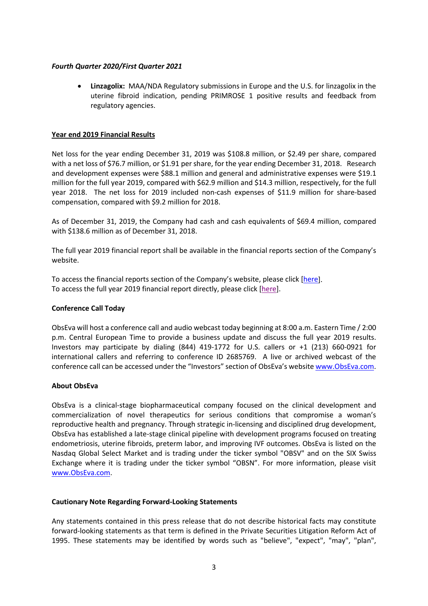#### *Fourth Quarter 2020/First Quarter 2021*

• **Linzagolix:** MAA/NDA Regulatory submissions in Europe and the U.S. for linzagolix in the uterine fibroid indication, pending PRIMROSE 1 positive results and feedback from regulatory agencies.

### **Year end 2019 Financial Results**

Net loss for the year ending December 31, 2019 was \$108.8 million, or \$2.49 per share, compared with a net loss of \$76.7 million, or \$1.91 per share, for the year ending December 31, 2018. Research and development expenses were \$88.1 million and general and administrative expenses were \$19.1 million for the full year 2019, compared with \$62.9 million and \$14.3 million, respectively, for the full year 2018. The net loss for 2019 included non-cash expenses of \$11.9 million for share-based compensation, compared with \$9.2 million for 2018.

As of December 31, 2019, the Company had cash and cash equivalents of \$69.4 million, compared with \$138.6 million as of December 31, 2018.

The full year 2019 financial report shall be available in the financial reports section of the Company's website.

To access the financial reports section of the Company's website, please click [\[here\]](https://www.obseva.com/financial-reports/). To access the full year 2019 financial report directly, please click [\[here\]](https://www.obseva.com/wp-content/uploads/2020/03/Annual-Report-2019.pdf).

#### **Conference Call Today**

ObsEva will host a conference call and audio webcast today beginning at 8:00 a.m. Eastern Time / 2:00 p.m. Central European Time to provide a business update and discuss the full year 2019 results. Investors may participate by dialing (844) 419-1772 for U.S. callers or +1 (213) 660-0921 for international callers and referring to conference ID 2685769. A live or archived webcast of the conference call can be accessed under the "Investors" section of ObsEva's website [www.ObsEva.com.](http://www.obseva.com/)

#### **About ObsEva**

ObsEva is a clinical-stage biopharmaceutical company focused on the clinical development and commercialization of novel therapeutics for serious conditions that compromise a woman's reproductive health and pregnancy. Through strategic in-licensing and disciplined drug development, ObsEva has established a late-stage clinical pipeline with development programs focused on treating endometriosis, uterine fibroids, preterm labor, and improving IVF outcomes. ObsEva is listed on the Nasdaq Global Select Market and is trading under the ticker symbol "OBSV" and on the SIX Swiss Exchange where it is trading under the ticker symbol "OBSN". For more information, please visit [www.ObsEva.com.](http://www.obseva.com/)

#### **Cautionary Note Regarding Forward-Looking Statements**

Any statements contained in this press release that do not describe historical facts may constitute forward-looking statements as that term is defined in the Private Securities Litigation Reform Act of 1995. These statements may be identified by words such as "believe", "expect", "may", "plan",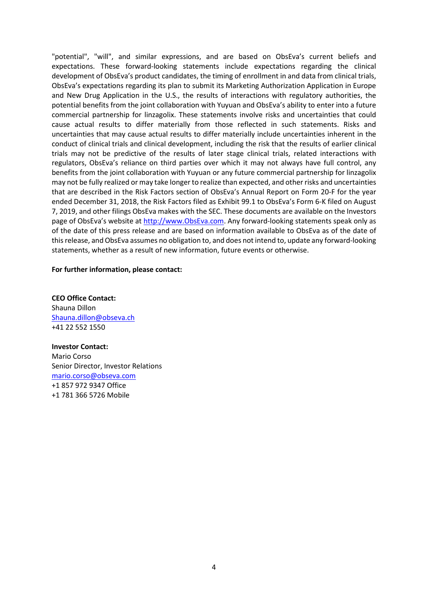"potential", "will", and similar expressions, and are based on ObsEva's current beliefs and expectations. These forward-looking statements include expectations regarding the clinical development of ObsEva's product candidates, the timing of enrollment in and data from clinical trials, ObsEva's expectations regarding its plan to submit its Marketing Authorization Application in Europe and New Drug Application in the U.S., the results of interactions with regulatory authorities, the potential benefits from the joint collaboration with Yuyuan and ObsEva's ability to enter into a future commercial partnership for linzagolix. These statements involve risks and uncertainties that could cause actual results to differ materially from those reflected in such statements. Risks and uncertainties that may cause actual results to differ materially include uncertainties inherent in the conduct of clinical trials and clinical development, including the risk that the results of earlier clinical trials may not be predictive of the results of later stage clinical trials, related interactions with regulators, ObsEva's reliance on third parties over which it may not always have full control, any benefits from the joint collaboration with Yuyuan or any future commercial partnership for linzagolix may not be fully realized or may take longer to realize than expected, and other risks and uncertainties that are described in the Risk Factors section of ObsEva's Annual Report on Form 20-F for the year ended December 31, 2018, the Risk Factors filed as Exhibit 99.1 to ObsEva's Form 6-K filed on August 7, 2019, and other filings ObsEva makes with the SEC. These documents are available on the Investors page of ObsEva's website a[t http://www.ObsEva.com.](http://www.obseva.com/) Any forward-looking statements speak only as of the date of this press release and are based on information available to ObsEva as of the date of this release, and ObsEva assumes no obligation to, and does not intend to, update any forward-looking statements, whether as a result of new information, future events or otherwise.

#### **For further information, please contact:**

**CEO Office Contact:** Shauna Dillon [Shauna.dillon@obseva.ch](mailto:Shauna.dillon@obseva.ch) +41 22 552 1550

**Investor Contact:** Mario Corso Senior Director, Investor Relations [mario.corso@obseva.com](mailto:mario.corso@obseva.com) +1 857 972 9347 Office +1 781 366 5726 Mobile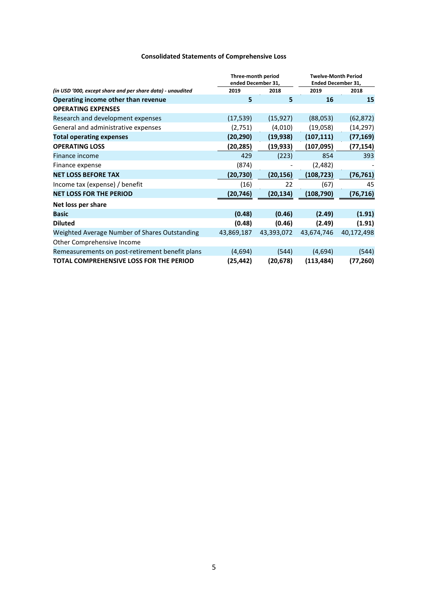# **Consolidated Statements of Comprehensive Loss**

| Three-month period<br>ended December 31,                   |            |            | <b>Twelve-Month Period</b><br><b>Ended December 31,</b> |            |
|------------------------------------------------------------|------------|------------|---------------------------------------------------------|------------|
| (in USD '000, except share and per share data) - unaudited | 2019       | 2018       | 2019                                                    | 2018       |
| Operating income other than revenue                        | 5          | 5          | 16                                                      | 15         |
| <b>OPERATING EXPENSES</b>                                  |            |            |                                                         |            |
| Research and development expenses                          | (17, 539)  | (15, 927)  | (88,053)                                                | (62, 872)  |
| General and administrative expenses                        | (2,751)    | (4,010)    | (19,058)                                                | (14, 297)  |
| <b>Total operating expenses</b>                            | (20,290)   | (19, 938)  | (107, 111)                                              | (77, 169)  |
| <b>OPERATING LOSS</b>                                      | (20,285)   | (19,933)   | (107, 095)                                              | (77, 154)  |
| Finance income                                             | 429        | (223)      | 854                                                     | 393        |
| Finance expense                                            | (874)      |            | (2,482)                                                 |            |
| <b>NET LOSS BEFORE TAX</b>                                 | (20,730)   | (20, 156)  | (108, 723)                                              | (76, 761)  |
| Income tax (expense) / benefit                             | (16)       | 22         | (67)                                                    | 45         |
| <b>NET LOSS FOR THE PERIOD</b>                             | (20,746)   | (20, 134)  | (108, 790)                                              | (76, 716)  |
| Net loss per share                                         |            |            |                                                         |            |
| <b>Basic</b>                                               | (0.48)     | (0.46)     | (2.49)                                                  | (1.91)     |
| <b>Diluted</b>                                             | (0.48)     | (0.46)     | (2.49)                                                  | (1.91)     |
| Weighted Average Number of Shares Outstanding              | 43,869,187 | 43,393,072 | 43,674,746                                              | 40,172,498 |
| Other Comprehensive Income                                 |            |            |                                                         |            |
| Remeasurements on post-retirement benefit plans            | (4,694)    | (544)      | (4,694)                                                 | (544)      |
| TOTAL COMPREHENSIVE LOSS FOR THE PERIOD                    | (25, 442)  | (20, 678)  | (113, 484)                                              | (77, 260)  |